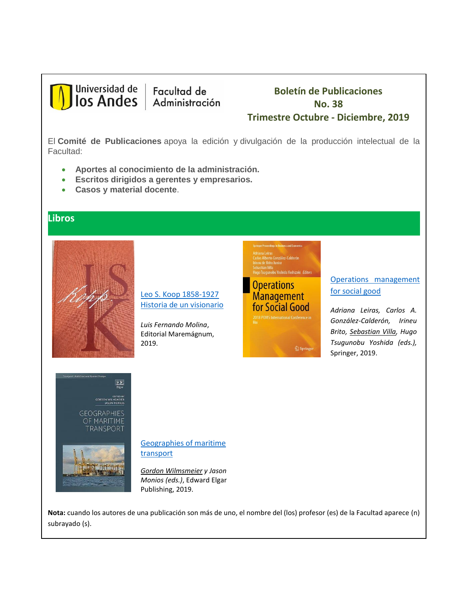

Facultad de Administración

# **Boletín de Publicaciones No. 38 Trimestre Octubre - Diciembre, 2019**

El **Comité de Publicaciones** apoya la edición y divulgación de la producción intelectual de la Facultad:

- **Aportes al conocimiento de la administración.**
- **Escritos dirigidos a gerentes y empresarios.**
- **Casos y material docente**.

#### **Libros**



[Leo S. Koop 1858-1927](https://libreriasiglo.com/home/66911-leo-s-kopp-1858-1927-historia-de-un-visionario.html#.XiDC3cgzYdU) [Historia de un visionario](https://libreriasiglo.com/home/66911-leo-s-kopp-1858-1927-historia-de-un-visionario.html#.XiDC3cgzYdU)

*Luis Fernando Molina*, Editorial Maremágnum, 2019.

driana Leiras<br>arlos Alberto González-Calderón<br>ineu de Brito Junior , Tsugunobu Yoshida Yoshizaki *Editors* 



### [Operations management](https://link.springer.com/book/10.1007%2F978-3-030-23816-2)  [for social good](https://link.springer.com/book/10.1007%2F978-3-030-23816-2)

*Adriana Leiras, Carlos A. González-Calderón, Irineu Brito, Sebastian Villa, Hugo Tsugunobu Yoshida (eds.),* Springer, 2019.



[Geographies of maritime](https://www.e-elgar.com/shop/geographies-of-maritime-transport)  [transport](https://www.e-elgar.com/shop/geographies-of-maritime-transport)

*Gordon Wilmsmeier y Jason Monios (eds.)*, Edward Elgar Publishing, 2019.

**Nota:** cuando los autores de una publicación son más de uno, el nombre del (los) profesor (es) de la Facultad aparece (n) subrayado (s).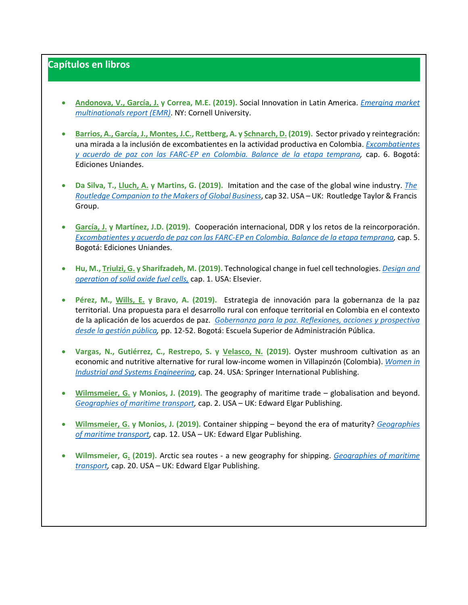# **Capítulos en libros**

- **Andonova, V., García, J. y Correa, M.E. (2019).** Social Innovation in Latin America. *[Emerging market](https://www.johnson.cornell.edu/wp-content/uploads/sites/3/2019/11/EMR-2019.pdf)  [multinationals report \(EMR\)](https://www.johnson.cornell.edu/wp-content/uploads/sites/3/2019/11/EMR-2019.pdf)*. NY: Cornell University.
- **Barrios, A., García, J., Montes, J.C., Rettberg, A. y Schnarch, D. (2019).** Sector privado y reintegración: una mirada a la inclusión de excombatientes en la actividad productiva en Colombia. *[Excombatientes](https://libreria.uniandes.edu.co/index.php?page=shop.browse&option=com_virtuemart&Itemid=26)  [y acuerdo de paz con las FARC-EP en Colombia. Balance de la etapa temprana,](https://libreria.uniandes.edu.co/index.php?page=shop.browse&option=com_virtuemart&Itemid=26)* cap. 6. Bogotá: Ediciones Uniandes.
- **Da Silva, T., Lluch, A. y Martins, G. (2019).** Imitation and the case of the global wine industry. *[The](https://www.routledge.com/The-Routledge-Companion-to-the-Makers-of-Global-Business-1st-Edition/da-Silva-Lopes-Lubinski-Tworek/p/book/9781138242654)  [Routledge Companion to the Makers of Global Business](https://www.routledge.com/The-Routledge-Companion-to-the-Makers-of-Global-Business-1st-Edition/da-Silva-Lopes-Lubinski-Tworek/p/book/9781138242654)*, cap 32. USA – UK: Routledge Taylor & Francis Group.
- **García, J. y Martínez, J.D. (2019).** Cooperación internacional, DDR y los retos de la reincorporación. *[Excombatientes y acuerdo de paz con las FARC-EP en Colombia. Balance de la etapa temprana,](https://libreria.uniandes.edu.co/index.php?page=shop.browse&option=com_virtuemart&Itemid=26)* cap. 5. Bogotá: Ediciones Uniandes.
- **Hu, M., Triulzi, G. y Sharifzadeh, M. (2019).** Technological change in fuel cell technologies. *[Design and](https://www.elsevier.com/books/design-and-operation-of-solid-oxide-fuel-cells/sharifzadeh/978-0-12-815253-9)  [operation of solid oxide fuel cells,](https://www.elsevier.com/books/design-and-operation-of-solid-oxide-fuel-cells/sharifzadeh/978-0-12-815253-9)* cap. 1. USA: Elsevier.
- **Pérez, M., Wills, E. y Bravo, A. (2019).** Estrategia de innovación para la gobernanza de la paz territorial. Una propuesta para el desarrollo rural con enfoque territorial en Colombia en el contexto de la aplicación de los acuerdos de paz. *[Gobernanza para la paz. Reflexiones, acciones y prospectiva](https://catalogo.unicatolica.edu.co/cgi-bin/koha/opac-detail.pl?biblionumber=14230)  [desde la gestión pública,](https://catalogo.unicatolica.edu.co/cgi-bin/koha/opac-detail.pl?biblionumber=14230)* pp. 12-52. Bogotá: Escuela Superior de Administración Pública.
- **Vargas, N., Gutiérrez, C., Restrepo, S. y Velasco, N. (2019).** Oyster mushroom cultivation as an economic and nutritive alternative for rural low-income women in Villapinzón (Colombia). *[Women in](https://www.springer.com/gp/book/9783030118655#aboutAuthors)  [Industrial and Systems Engineering](https://www.springer.com/gp/book/9783030118655#aboutAuthors)*, cap. 24. USA: Springer International Publishing.
- **Wilmsmeier, G. y Monios, J. (2019).** The geography of maritime trade globalisation and beyond. *[Geographies of maritime transport,](https://www.e-elgar.com/shop/geographies-of-maritime-transport)* cap. 2. USA – UK: Edward Elgar Publishing.
- **Wilmsmeier, G. y Monios, J. (2019).** Container shipping beyond the era of maturity? *[Geographies](https://www.e-elgar.com/shop/geographies-of-maritime-transport)  [of maritime transport,](https://www.e-elgar.com/shop/geographies-of-maritime-transport)* cap. 12. USA – UK: Edward Elgar Publishing.
- **Wilmsmeier, G. (2019).** Arctic sea routes a new geography for shipping. *[Geographies of maritime](https://www.e-elgar.com/shop/geographies-of-maritime-transport)  [transport,](https://www.e-elgar.com/shop/geographies-of-maritime-transport)* cap. 20. USA – UK: Edward Elgar Publishing.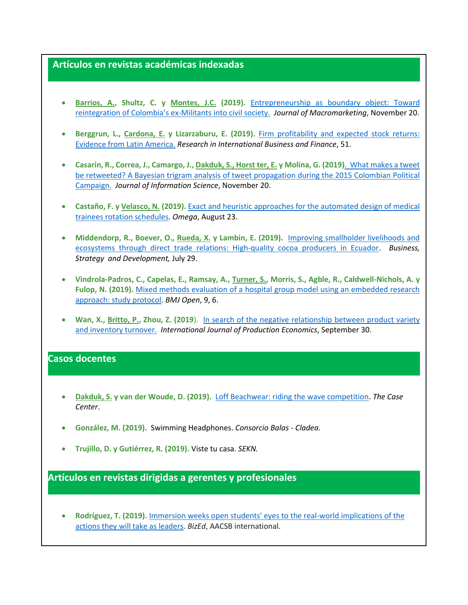#### **Artículos en revistas académicas indexadas**

- **Barrios, A., Shultz, C. y Montes, J.C. (2019).** [Entrepreneurship as boundary object: Toward](https://journals.sagepub.com/doi/abs/10.1177/0276146719884606)  [reintegration of Colombia's ex](https://journals.sagepub.com/doi/abs/10.1177/0276146719884606)-Militants into civil society. *Journal of Macromarketing*, November 20.
- **Berggrun, L., Cardona, E. y Lizarzaburu, E. (2019).** [Firm profitability and expected stock returns:](https://www.sciencedirect.com/science/article/pii/S0275531919305513)  [Evidence from Latin America.](https://www.sciencedirect.com/science/article/pii/S0275531919305513) *Research in International Business and Finance*, 51.
- **Casarin, R., Correa, J., Camargo, J., Dakduk, S., Horst ter, E. y Molina, G. (2019)**[. What makes a tweet](https://journals.sagepub.com/doi/abs/10.1177/0165551519886056)  [be retweeted? A Bayesian trigram analysis of tweet propagation during the 2015 Colombian Political](https://journals.sagepub.com/doi/abs/10.1177/0165551519886056)  [Campaign.](https://journals.sagepub.com/doi/abs/10.1177/0165551519886056) *Journal of Information Science*, November 20.
- **Castaño, F. y Velasco, N. (2019).** [Exact and heuristic approaches for the automated design of medical](https://www.sciencedirect.com/science/article/pii/S0305048318309162)  [trainees rotation schedules.](https://www.sciencedirect.com/science/article/pii/S0305048318309162) *Omega*, August 23.
- **Middendorp, R., Boever, O., Rueda, X. y Lambin, E. (2019).** [Improving smallholder livelihoods and](https://onlinelibrary.wiley.com/doi/abs/10.1002/bsd2.86)  ecosystems [through direct trade relations: High‐quality cocoa producers in Ecuador](https://onlinelibrary.wiley.com/doi/abs/10.1002/bsd2.86). *Business, Strategy and Development,* July 29.
- **Vindrola-Padros, C., Capelas, E., Ramsay, A., Turner, S., Morris, S., Agble, R., Caldwell-Nichols, A. y Fulop, N. (2019).** [Mixed methods evaluation of a hospital group model using an embedded research](https://bmjopen.bmj.com/content/9/6/e027086)  [approach: study protocol.](https://bmjopen.bmj.com/content/9/6/e027086) *BMJ Open*, 9, 6.
- **Wan, X., Britto, P., Zhou, Z. (2019**). [In search of the negative relationship between product variety](https://www.sciencedirect.com/science/article/pii/S0925527319303238)  [and inventory turnover.](https://www.sciencedirect.com/science/article/pii/S0925527319303238) *International Journal of Production Economics*, September 30.

#### **Casos docentes**

- **Dakduk, S. y van der Woude, D. (2019).** [Loff Beachwear: riding the wave competition.](https://www.thecasecentre.org/main/products/view?id=165493) *The Case Center*.
- **González, M. (2019).** Swimming Headphones. *Consorcio Balas - Cladea.*
- **Trujillo, D. y Gutiérrez, R. (2019).** Viste tu casa. *SEKN.*

# **Artículos en revistas dirigidas a gerentes y profesionales**

 **Rodríguez, T. (2019).** [Immersion weeks open students' eyes to the real-world implications of the](https://bized.aacsb.edu/articles/2019/may/explorations-of-leadership)  [actions they will take as leaders.](https://bized.aacsb.edu/articles/2019/may/explorations-of-leadership) *BizEd*, AACSB international.